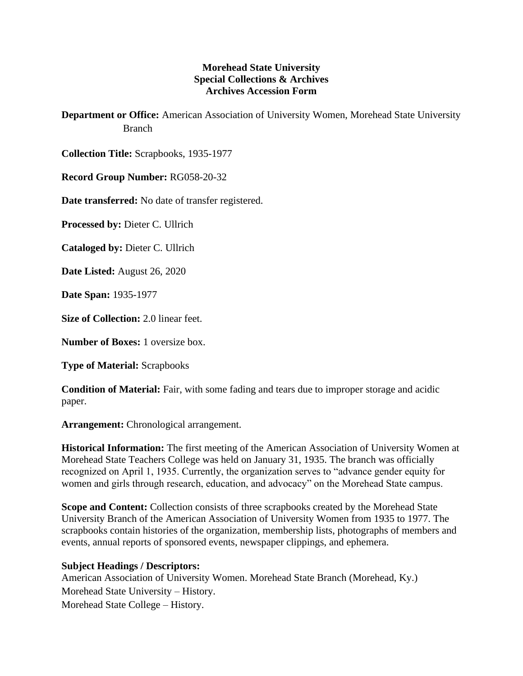## **Morehead State University Special Collections & Archives Archives Accession Form**

**Department or Office:** American Association of University Women, Morehead State University Branch

**Collection Title:** Scrapbooks, 1935-1977

**Record Group Number:** RG058-20-32

**Date transferred:** No date of transfer registered.

**Processed by:** Dieter C. Ullrich

**Cataloged by:** Dieter C. Ullrich

**Date Listed:** August 26, 2020

**Date Span:** 1935-1977

**Size of Collection:** 2.0 linear feet.

**Number of Boxes:** 1 oversize box.

**Type of Material:** Scrapbooks

**Condition of Material:** Fair, with some fading and tears due to improper storage and acidic paper.

**Arrangement:** Chronological arrangement.

**Historical Information:** The first meeting of the American Association of University Women at Morehead State Teachers College was held on January 31, 1935. The branch was officially recognized on April 1, 1935. Currently, the organization serves to "advance gender equity for women and girls through research, education, and advocacy" on the Morehead State campus.

**Scope and Content:** Collection consists of three scrapbooks created by the Morehead State University Branch of the American Association of University Women from 1935 to 1977. The scrapbooks contain histories of the organization, membership lists, photographs of members and events, annual reports of sponsored events, newspaper clippings, and ephemera.

## **Subject Headings / Descriptors:**

American Association of University Women. Morehead State Branch (Morehead, Ky.) Morehead State University – History. Morehead State College – History.